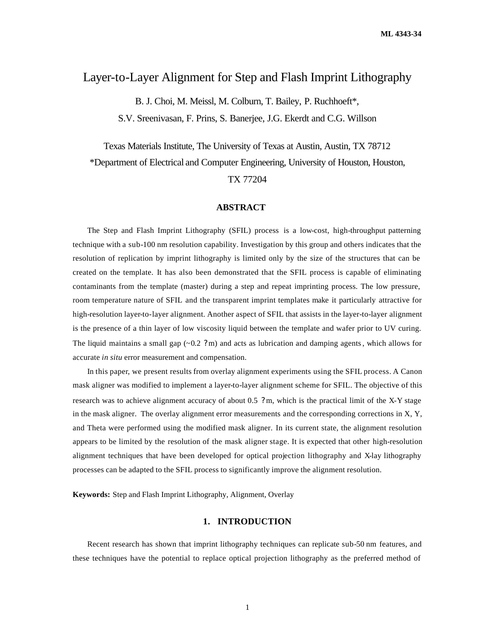# Layer-to-Layer Alignment for Step and Flash Imprint Lithography

B. J. Choi, M. Meissl, M. Colburn, T. Bailey, P. Ruchhoeft\*,

S.V. Sreenivasan, F. Prins, S. Banerjee, J.G. Ekerdt and C.G. Willson

Texas Materials Institute, The University of Texas at Austin, Austin, TX 78712 \*Department of Electrical and Computer Engineering, University of Houston, Houston,

## TX 77204

#### **ABSTRACT**

The Step and Flash Imprint Lithography (SFIL) process is a low-cost, high-throughput patterning technique with a sub-100 nm resolution capability. Investigation by this group and others indicates that the resolution of replication by imprint lithography is limited only by the size of the structures that can be created on the template. It has also been demonstrated that the SFIL process is capable of eliminating contaminants from the template (master) during a step and repeat imprinting process. The low pressure, room temperature nature of SFIL and the transparent imprint templates make it particularly attractive for high-resolution layer-to-layer alignment. Another aspect of SFIL that assists in the layer-to-layer alignment is the presence of a thin layer of low viscosity liquid between the template and wafer prior to UV curing. The liquid maintains a small gap  $(\sim 0.2 \, ?\, \text{m})$  and acts as lubrication and damping agents, which allows for accurate *in situ* error measurement and compensation.

In this paper, we present results from overlay alignment experiments using the SFIL process. A Canon mask aligner was modified to implement a layer-to-layer alignment scheme for SFIL. The objective of this research was to achieve alignment accuracy of about 0.5 ? m, which is the practical limit of the X-Y stage in the mask aligner. The overlay alignment error measurements and the corresponding corrections in X, Y, and Theta were performed using the modified mask aligner. In its current state, the alignment resolution appears to be limited by the resolution of the mask aligner stage. It is expected that other high-resolution alignment techniques that have been developed for optical projection lithography and X-lay lithography processes can be adapted to the SFIL process to significantly improve the alignment resolution.

**Keywords:** Step and Flash Imprint Lithography, Alignment, Overlay

## **1. INTRODUCTION**

Recent research has shown that imprint lithography techniques can replicate sub-50 nm features, and these techniques have the potential to replace optical projection lithography as the preferred method of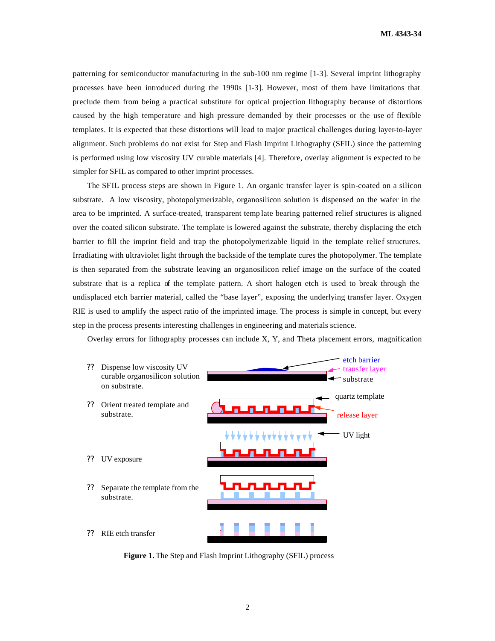patterning for semiconductor manufacturing in the sub-100 nm regime [1-3]. Several imprint lithography processes have been introduced during the 1990s [1-3]. However, most of them have limitations that preclude them from being a practical substitute for optical projection lithography because of distortions caused by the high temperature and high pressure demanded by their processes or the use of flexible templates. It is expected that these distortions will lead to major practical challenges during layer-to-layer alignment. Such problems do not exist for Step and Flash Imprint Lithography (SFIL) since the patterning is performed using low viscosity UV curable materials [4]. Therefore, overlay alignment is expected to be simpler for SFIL as compared to other imprint processes.

The SFIL process steps are shown in Figure 1. An organic transfer layer is spin-coated on a silicon substrate. A low viscosity, photopolymerizable, organosilicon solution is dispensed on the wafer in the area to be imprinted. A surface-treated, transparent temp late bearing patterned relief structures is aligned over the coated silicon substrate. The template is lowered against the substrate, thereby displacing the etch barrier to fill the imprint field and trap the photopolymerizable liquid in the template relief structures. Irradiating with ultraviolet light through the backside of the template cures the photopolymer. The template is then separated from the substrate leaving an organosilicon relief image on the surface of the coated substrate that is a replica of the template pattern. A short halogen etch is used to break through the undisplaced etch barrier material, called the "base layer", exposing the underlying transfer layer. Oxygen RIE is used to amplify the aspect ratio of the imprinted image. The process is simple in concept, but every step in the process presents interesting challenges in engineering and materials science.

Overlay errors for lithography processes can include X, Y, and Theta placement errors, magnification



**Figure 1.** The Step and Flash Imprint Lithography (SFIL) process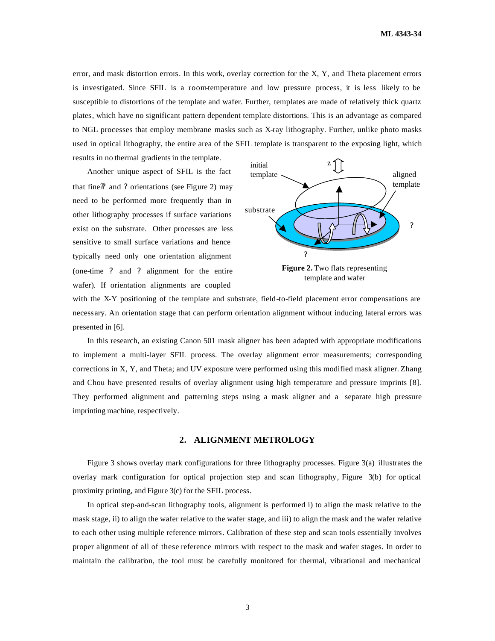error, and mask distortion errors. In this work, overlay correction for the X, Y, and Theta placement errors is investigated. Since SFIL is a room-temperature and low pressure process, it is less likely to be susceptible to distortions of the template and wafer. Further, templates are made of relatively thick quartz plates, which have no significant pattern dependent template distortions. This is an advantage as compared to NGL processes that employ membrane masks such as X-ray lithography. Further, unlike photo masks used in optical lithography, the entire area of the SFIL template is transparent to the exposing light, which results in no thermal gradients in the template.

Another unique aspect of SFIL is the fact that fine?*?* and *?* orientations (see Figure 2) may need to be performed more frequently than in other lithography processes if surface variations exist on the substrate. Other processes are less sensitive to small surface variations and hence typically need only one orientation alignment (one-time *?* and *?* alignment for the entire wafer). If orientation alignments are coupled



with the X-Y positioning of the template and substrate, field-to-field placement error compensations are necessary. An orientation stage that can perform orientation alignment without inducing lateral errors was presented in [6].

In this research, an existing Canon 501 mask aligner has been adapted with appropriate modifications to implement a multi-layer SFIL process. The overlay alignment error measurements; corresponding corrections in X, Y, and Theta; and UV exposure were performed using this modified mask aligner. Zhang and Chou have presented results of overlay alignment using high temperature and pressure imprints [8]. They performed alignment and patterning steps using a mask aligner and a separate high pressure imprinting machine, respectively.

#### **2. ALIGNMENT METROLOGY**

Figure 3 shows overlay mark configurations for three lithography processes. Figure 3(a) illustrates the overlay mark configuration for optical projection step and scan lithography, Figure 3(b) for optical proximity printing, and Figure 3(c) for the SFIL process.

In optical step-and-scan lithography tools, alignment is performed i) to align the mask relative to the mask stage, ii) to align the wafer relative to the wafer stage, and iii) to align the mask and the wafer relative to each other using multiple reference mirrors. Calibration of these step and scan tools essentially involves proper alignment of all of these reference mirrors with respect to the mask and wafer stages. In order to maintain the calibration, the tool must be carefully monitored for thermal, vibrational and mechanical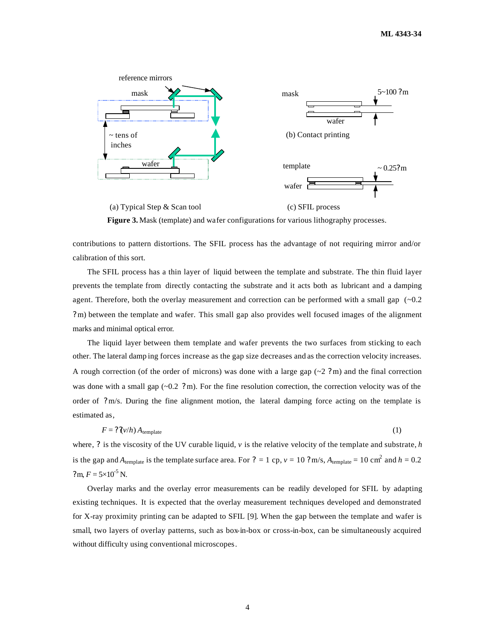

**Figure 3.** Mask (template) and wafer configurations for various lithography processes.

contributions to pattern distortions. The SFIL process has the advantage of not requiring mirror and/or calibration of this sort.

The SFIL process has a thin layer of liquid between the template and substrate. The thin fluid layer prevents the template from directly contacting the substrate and it acts both as lubricant and a damping agent. Therefore, both the overlay measurement and correction can be performed with a small gap  $(\sim 0.2$ ? m) between the template and wafer. This small gap also provides well focused images of the alignment marks and minimal optical error.

The liquid layer between them template and wafer prevents the two surfaces from sticking to each other. The lateral damp ing forces increase as the gap size decreases and as the correction velocity increases. A rough correction (of the order of microns) was done with a large gap  $(\sim 2 \degree n)$  and the final correction was done with a small gap  $(-0.2 \t? m)$ . For the fine resolution correction, the correction velocity was of the order of ? m/s. During the fine alignment motion, the lateral damping force acting on the template is estimated as,

$$
F = ?2(v/h) Atemplate
$$
 (1)

where,  $\hat{z}$  is the viscosity of the UV curable liquid,  $\hat{y}$  is the relative velocity of the template and substrate,  $\hat{h}$ is the gap and  $A_{\text{template}}$  is the template surface area. For  $? = 1$  cp,  $v = 10$  ? m/s,  $A_{\text{template}} = 10$  cm<sup>2</sup> and  $h = 0.2$ ?m,  $F = 5 \times 10^{-5}$  N.

Overlay marks and the overlay error measurements can be readily developed for SFIL by adapting existing techniques. It is expected that the overlay measurement techniques developed and demonstrated for X-ray proximity printing can be adapted to SFIL [9]. When the gap between the template and wafer is small, two layers of overlay patterns, such as box-in-box or cross-in-box, can be simultaneously acquired without difficulty using conventional microscopes.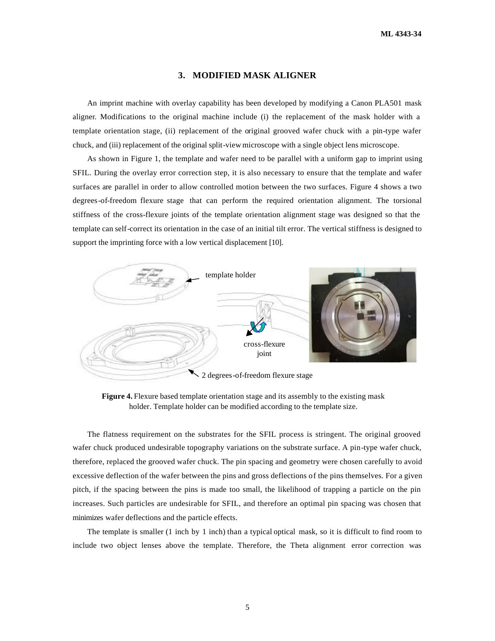## **3. MODIFIED MASK ALIGNER**

An imprint machine with overlay capability has been developed by modifying a Canon PLA501 mask aligner. Modifications to the original machine include (i) the replacement of the mask holder with a template orientation stage, (ii) replacement of the original grooved wafer chuck with a pin-type wafer chuck, and (iii) replacement of the original split-view microscope with a single object lens microscope.

As shown in Figure 1, the template and wafer need to be parallel with a uniform gap to imprint using SFIL. During the overlay error correction step, it is also necessary to ensure that the template and wafer surfaces are parallel in order to allow controlled motion between the two surfaces. Figure 4 shows a two degrees-of-freedom flexure stage that can perform the required orientation alignment. The torsional stiffness of the cross-flexure joints of the template orientation alignment stage was designed so that the template can self-correct its orientation in the case of an initial tilt error. The vertical stiffness is designed to support the imprinting force with a low vertical displacement [10].



**Figure 4.** Flexure based template orientation stage and its assembly to the existing mask holder. Template holder can be modified according to the template size.

The flatness requirement on the substrates for the SFIL process is stringent. The original grooved wafer chuck produced undesirable topography variations on the substrate surface. A pin-type wafer chuck, therefore, replaced the grooved wafer chuck. The pin spacing and geometry were chosen carefully to avoid excessive deflection of the wafer between the pins and gross deflections of the pins themselves. For a given pitch, if the spacing between the pins is made too small, the likelihood of trapping a particle on the pin increases. Such particles are undesirable for SFIL, and therefore an optimal pin spacing was chosen that minimizes wafer deflections and the particle effects.

The template is smaller (1 inch by 1 inch) than a typical optical mask, so it is difficult to find room to include two object lenses above the template. Therefore, the Theta alignment error correction was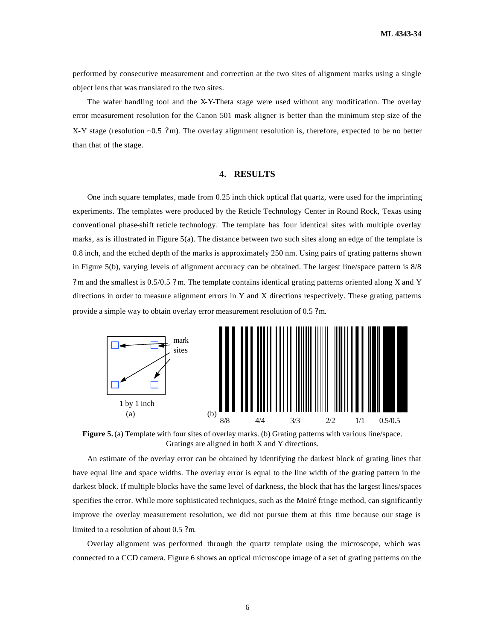performed by consecutive measurement and correction at the two sites of alignment marks using a single object lens that was translated to the two sites.

The wafer handling tool and the X-Y-Theta stage were used without any modification. The overlay error measurement resolution for the Canon 501 mask aligner is better than the minimum step size of the X-Y stage (resolution  $\sim$  0.5 ? m). The overlay alignment resolution is, therefore, expected to be no better than that of the stage.

## **4. RESULTS**

One inch square templates, made from 0.25 inch thick optical flat quartz, were used for the imprinting experiments. The templates were produced by the Reticle Technology Center in Round Rock, Texas using conventional phase-shift reticle technology. The template has four identical sites with multiple overlay marks, as is illustrated in Figure 5(a). The distance between two such sites along an edge of the template is 0.8 inch, and the etched depth of the marks is approximately 250 nm. Using pairs of grating patterns shown in Figure 5(b), varying levels of alignment accuracy can be obtained. The largest line/space pattern is 8/8 ? m and the smallest is 0.5/0.5 ? m. The template contains identical grating patterns oriented along X and Y directions in order to measure alignment errors in Y and X directions respectively. These grating patterns provide a simple way to obtain overlay error measurement resolution of 0.5 ?m.



**Figure 5.** (a) Template with four sites of overlay marks. (b) Grating patterns with various line/space. Gratings are aligned in both X and Y directions.

An estimate of the overlay error can be obtained by identifying the darkest block of grating lines that have equal line and space widths. The overlay error is equal to the line width of the grating pattern in the darkest block. If multiple blocks have the same level of darkness, the block that has the largest lines/spaces specifies the error. While more sophisticated techniques, such as the Moiré fringe method, can significantly improve the overlay measurement resolution, we did not pursue them at this time because our stage is limited to a resolution of about 0.5 ?m.

Overlay alignment was performed through the quartz template using the microscope, which was connected to a CCD camera. Figure 6 shows an optical microscope image of a set of grating patterns on the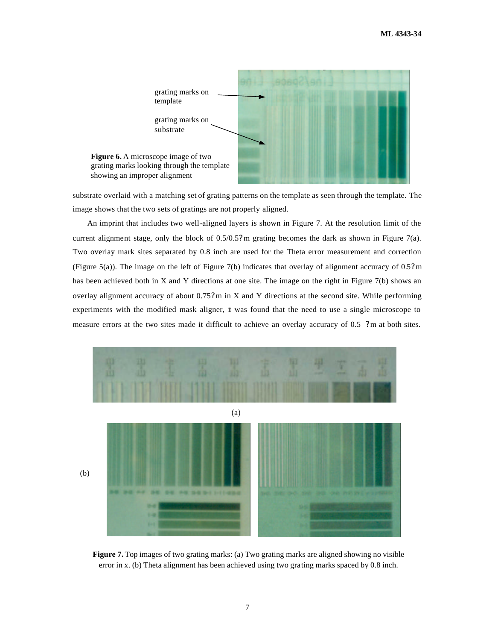

substrate overlaid with a matching set of grating patterns on the template as seen through the template. The image shows that the two sets of gratings are not properly aligned.

An imprint that includes two well-aligned layers is shown in Figure 7. At the resolution limit of the current alignment stage, only the block of  $0.5/0.5$ ? m grating becomes the dark as shown in Figure 7(a). Two overlay mark sites separated by 0.8 inch are used for the Theta error measurement and correction (Figure 5(a)). The image on the left of Figure 7(b) indicates that overlay of alignment accuracy of 0.5? m has been achieved both in X and Y directions at one site. The image on the right in Figure 7(b) shows an overlay alignment accuracy of about 0.75? m in X and Y directions at the second site. While performing experiments with the modified mask aligner, it was found that the need to use a single microscope to measure errors at the two sites made it difficult to achieve an overlay accuracy of 0.5 ? m at both sites.



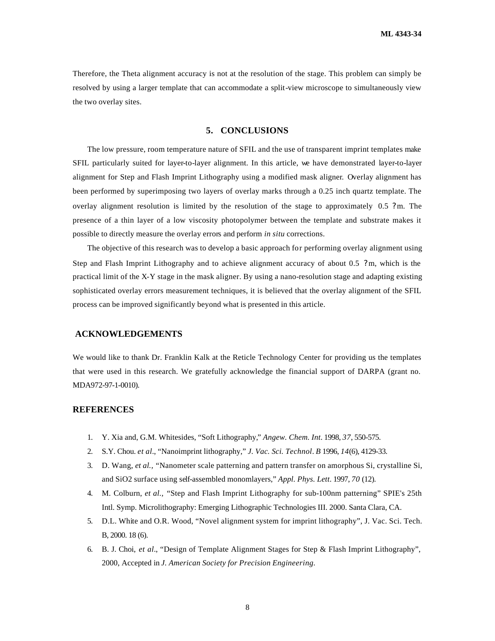Therefore, the Theta alignment accuracy is not at the resolution of the stage. This problem can simply be resolved by using a larger template that can accommodate a split-view microscope to simultaneously view the two overlay sites.

#### **5. CONCLUSIONS**

The low pressure, room temperature nature of SFIL and the use of transparent imprint templates make SFIL particularly suited for layer-to-layer alignment. In this article, we have demonstrated layer-to-layer alignment for Step and Flash Imprint Lithography using a modified mask aligner. Overlay alignment has been performed by superimposing two layers of overlay marks through a 0.25 inch quartz template. The overlay alignment resolution is limited by the resolution of the stage to approximately 0.5 ? m. The presence of a thin layer of a low viscosity photopolymer between the template and substrate makes it possible to directly measure the overlay errors and perform *in situ* corrections.

The objective of this research was to develop a basic approach for performing overlay alignment using Step and Flash Imprint Lithography and to achieve alignment accuracy of about 0.5 ? m, which is the practical limit of the X-Y stage in the mask aligner. By using a nano-resolution stage and adapting existing sophisticated overlay errors measurement techniques, it is believed that the overlay alignment of the SFIL process can be improved significantly beyond what is presented in this article.

## **ACKNOWLEDGEMENTS**

We would like to thank Dr. Franklin Kalk at the Reticle Technology Center for providing us the templates that were used in this research. We gratefully acknowledge the financial support of DARPA (grant no. MDA972-97-1-0010).

#### **REFERENCES**

- 1. Y. Xia and, G.M. Whitesides, "Soft Lithography," *Angew. Chem. Int*. 1998, *37*, 550-575.
- 2. S.Y. Chou. *et al.*, "Nanoimprint lithography," *J. Vac. Sci. Technol*. *B* 1996, *14*(6), 4129-33.
- 3. D. Wang, *et al.,* "Nanometer scale patterning and pattern transfer on amorphous Si, crystalline Si, and SiO2 surface using self-assembled monomlayers," *Appl. Phys. Lett*. 1997, *70* (12).
- 4. M. Colburn, *et al.,* "Step and Flash Imprint Lithography for sub-100nm patterning" SPIE's 25th Intl. Symp. Microlithography: Emerging Lithographic Technologies III. 2000. Santa Clara, CA.
- 5. D.L. White and O.R. Wood, "Novel alignment system for imprint lithography", J. Vac. Sci. Tech. B, 2000. 18 (6).
- 6. B. J. Choi, *et al.*, "Design of Template Alignment Stages for Step & Flash Imprint Lithography", 2000, Accepted in *J. American Society for Precision Engineering.*